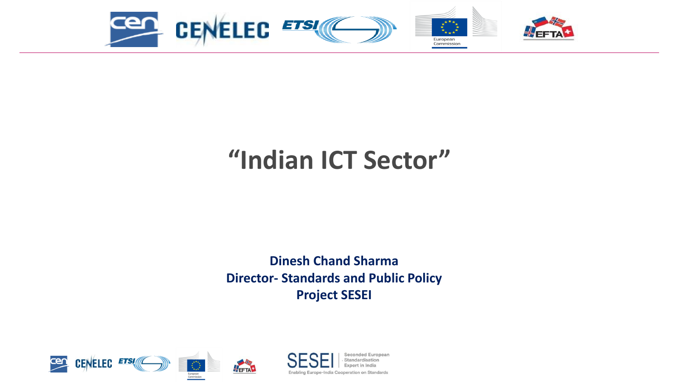

### **"Indian ICT Sector"**

**Dinesh Chand Sharma Director- Standards and Public Policy Project SESEI**





Seconded European Standardication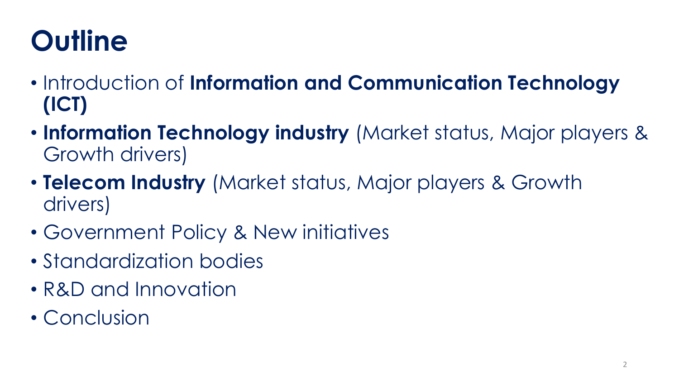# **Outline**

- Introduction of **Information and Communication Technology (ICT)**
- **Information Technology industry** (Market status, Major players & Growth drivers)
- **Telecom Industry** (Market status, Major players & Growth drivers)
- Government Policy & New initiatives
- Standardization bodies
- R&D and Innovation
- Conclusion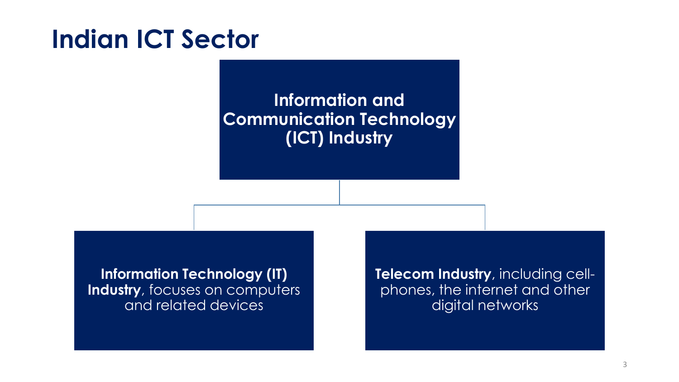### **Indian ICT Sector**

### **Information and Communication Technology (ICT) Industry**

**Information Technology (IT) Industry**, focuses on computers and related devices

**Telecom Industry**, including cellphones, the internet and other digital networks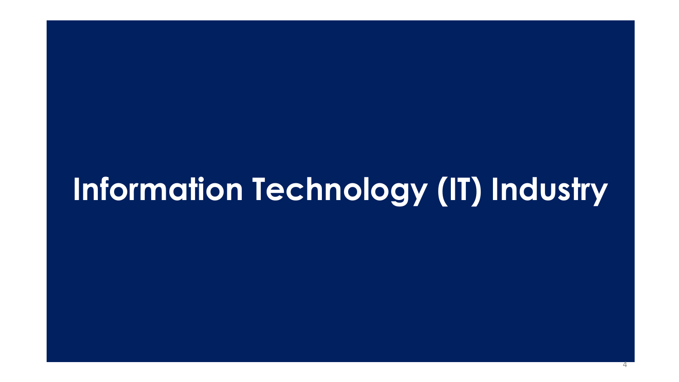# **Information Technology (IT) Industry**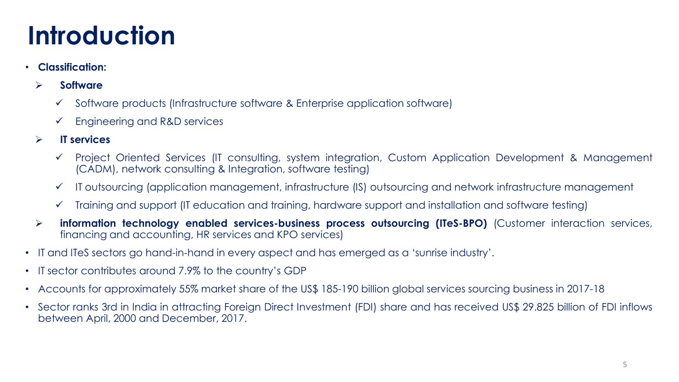### **Introduction**

#### • **Classification:**

#### ➢ **Software**

- ✓ Software products (Infrastructure software & Enterprise application software)
- $\checkmark$  Engineering and R&D services

#### ➢ **IT services**

- ✓ Project Oriented Services (IT consulting, system integration, Custom Application Development & Management (CADM), network consulting & Integration, software testing)
- ✓ IT outsourcing (application management, infrastructure (IS) outsourcing and network infrastructure management
- ✓ Training and support (IT education and training, hardware support and installation and software testing)
- ➢ **information technology enabled services-business process outsourcing (ITeS-BPO)** (Customer interaction services, financing and accounting, HR services and KPO services)
- IT and ITeS sectors go hand-in-hand in every aspect and has emerged as a 'sunrise industry'.
- IT sector contributes around 7.9% to the country's GDP
- Accounts for approximately 55% market share of the US\$ 185-190 billion global services sourcing business in 2017-18
- Sector ranks 3rd in India in attracting Foreign Direct Investment (FDI) share and has received US\$ 29.825 billion of FDI inflows between April, 2000 and December, 2017.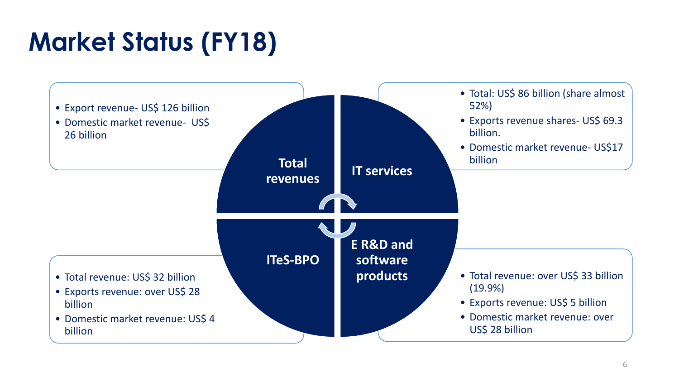# **Market Status (FY18)**

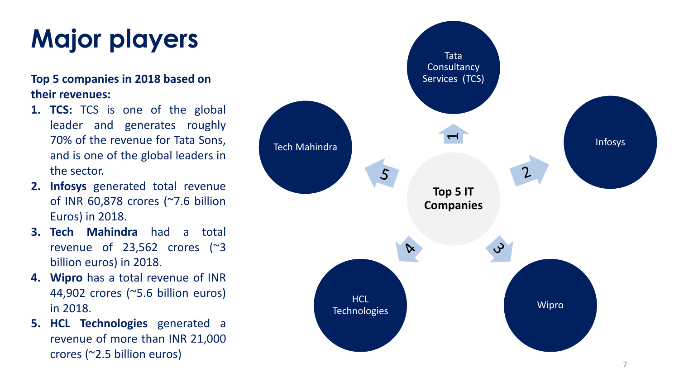# **Major players**

#### **Top 5 companies in 2018 based on their revenues:**

- **1. TCS:** TCS is one of the global leader and generates roughly 70% of the revenue for Tata Sons, and is one of the global leaders in the sector.
- **2. Infosys** generated total revenue of INR 60,878 crores (~7.6 billion Euros) in 2018.
- **3. Tech Mahindra** had a total revenue of 23,562 crores (~3 billion euros) in 2018.
- **4. Wipro** has a total revenue of INR 44,902 crores (~5.6 billion euros) in 2018.
- **5. HCL Technologies** generated a revenue of more than INR 21,000 crores (~2.5 billion euros)

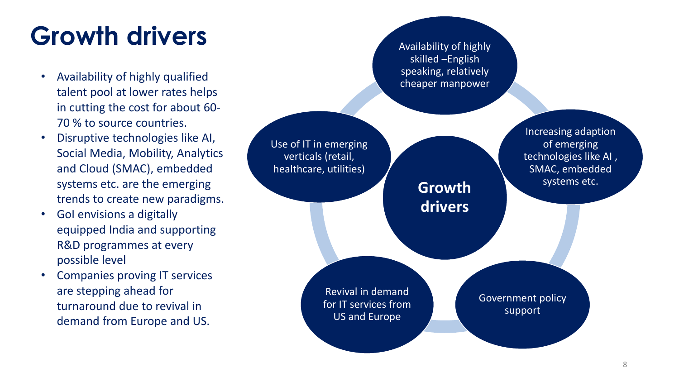## **Growth drivers**

- Availability of highly qualified talent pool at lower rates helps in cutting the cost for about 60- 70 % to source countries.
- Disruptive technologies like AI, Social Media, Mobility, Analytics and Cloud (SMAC), embedded systems etc. are the emerging trends to create new paradigms.
- GoI envisions a digitally equipped India and supporting R&D programmes at every possible level
- Companies proving IT services are stepping ahead for turnaround due to revival in demand from Europe and US.

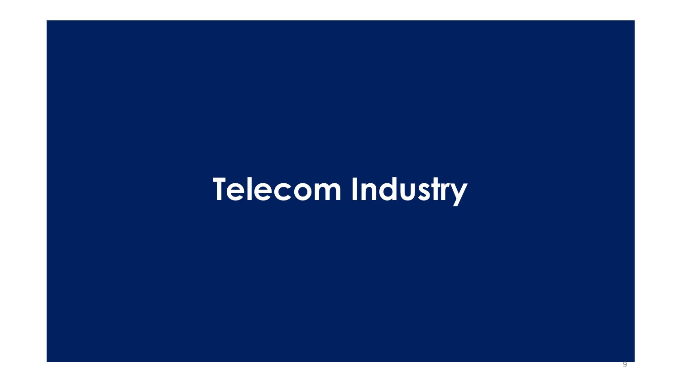# **Telecom Industry**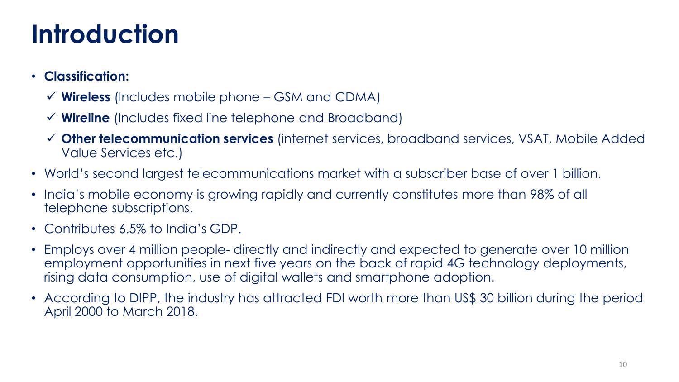### **Introduction**

- **Classification:**
	- ✓ **Wireless** (Includes mobile phone GSM and CDMA)
	- ✓ **Wireline** (Includes fixed line telephone and Broadband)
	- ✓ **Other telecommunication services** (internet services, broadband services, VSAT, Mobile Added Value Services etc.)
- World's second largest telecommunications market with a subscriber base of over 1 billion.
- India's mobile economy is growing rapidly and currently constitutes more than 98% of all telephone subscriptions.
- Contributes 6.5% to India's GDP.
- Employs over 4 million people- directly and indirectly and expected to generate over 10 million employment opportunities in next five years on the back of rapid 4G technology deployments, rising data consumption, use of digital wallets and smartphone adoption.
- According to DIPP, the industry has attracted FDI worth more than US\$ 30 billion during the period April 2000 to March 2018.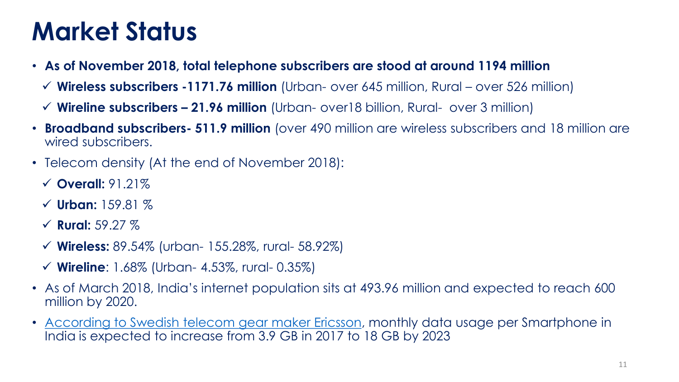### **Market Status**

- **As of November 2018, total telephone subscribers are stood at around 1194 million** 
	- ✓ **Wireless subscribers -1171.76 million** (Urban- over 645 million, Rural over 526 million)
	- ✓ **Wireline subscribers – 21.96 million** (Urban- over18 billion, Rural- over 3 million)
- **Broadband subscribers- 511.9 million** (over 490 million are wireless subscribers and 18 million are wired subscribers.
- Telecom density (At the end of November 2018):
	- ✓ **Overall:** 91.21%
	- ✓ **Urban:** 159.81 %
	- ✓ **Rural:** 59.27 %
	- ✓ **Wireless:** 89.54% (urban- 155.28%, rural- 58.92%)
	- ✓ **Wireline**: 1.68% (Urban- 4.53%, rural- 0.35%)
- As of March 2018, India's internet population sits at 493.96 million and expected to reach 600 million by 2020.
- [According to Swedish telecom gear maker Ericsson](https://timesofindia.indiatimes.com/business/india-business/data-usage-per-smartphone-in-india-to-grow-5-fold-by-2023/articleshow/61837943.cms), monthly data usage per Smartphone in India is expected to increase from 3.9 GB in 2017 to 18 GB by 2023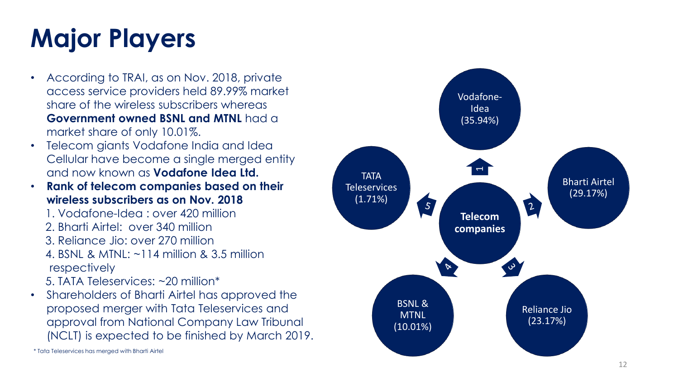# **Major Players**

- According to TRAI, as on Nov. 2018, private access service providers held 89.99% market share of the wireless subscribers whereas **Government owned BSNL and MTNL** had a market share of only 10.01%.
- Telecom giants Vodafone India and Idea Cellular have become a single merged entity and now known as **Vodafone Idea Ltd.**
- **Rank of telecom companies based on their wireless subscribers as on Nov. 2018**
	- 1. Vodafone-Idea : over 420 million
	- 2. Bharti Airtel: over 340 million
	- 3. Reliance Jio: over 270 million
	- 4. BSNL & MTNL: ~114 million & 3.5 million respectively
	- 5. TATA Teleservices: ~20 million\*
- Shareholders of Bharti Airtel has approved the proposed merger with Tata Teleservices and approval from National Company Law Tribunal (NCLT) is expected to be finished by March 2019.



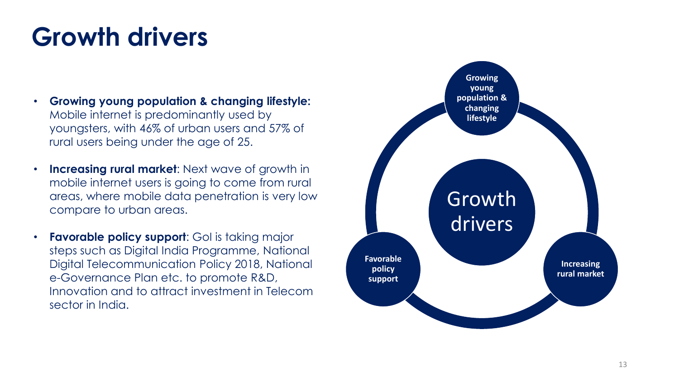### **Growth drivers**

- **Growing young population & changing lifestyle:**  Mobile internet is predominantly used by youngsters, with 46% of urban users and 57% of rural users being under the age of 25.
- **Increasing rural market**: Next wave of growth in mobile internet users is going to come from rural areas, where mobile data penetration is very low compare to urban areas.
- **Favorable policy support**: GoI is taking major steps such as Digital India Programme, National Digital Telecommunication Policy 2018, National e-Governance Plan etc. to promote R&D, Innovation and to attract investment in Telecom sector in India.

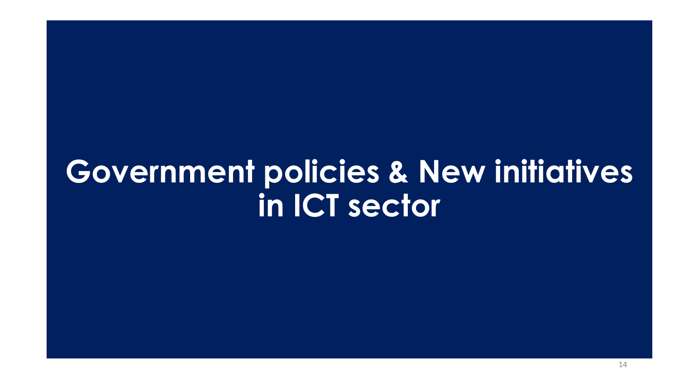# **Government policies & New initiatives in ICT sector**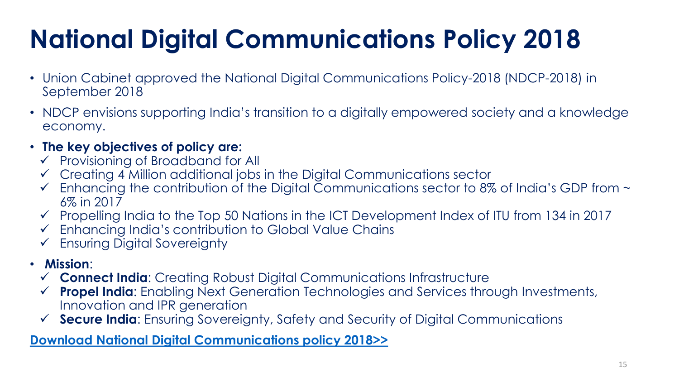# **National Digital Communications Policy 2018**

- Union Cabinet approved the National Digital Communications Policy-2018 (NDCP-2018) in September 2018
- NDCP envisions supporting India's transition to a digitally empowered society and a knowledge economy.
- **The key objectives of policy are:**
	- ✓ Provisioning of Broadband for All
	- ✓ Creating 4 Million additional jobs in the Digital Communications sector
	- $\checkmark$  Enhancing the contribution of the Digital Communications sector to 8% of India's GDP from  $\sim$ 6% in 2017
	- ✓ Propelling India to the Top 50 Nations in the ICT Development Index of ITU from 134 in 2017
	- ✓ Enhancing India's contribution to Global Value Chains
	- ✓ Ensuring Digital Sovereignty
- **Mission**:
	- ✓ **Connect India**: Creating Robust Digital Communications Infrastructure
	- ✓ **Propel India**: Enabling Next Generation Technologies and Services through Investments, Innovation and IPR generation
	- ✓ **Secure India**: Ensuring Sovereignty, Safety and Security of Digital Communications

#### **[Download National Digital Communications policy 2018>>](http://dot.gov.in/sites/default/files/Final%20NDCP-2018.pdf?download=1)**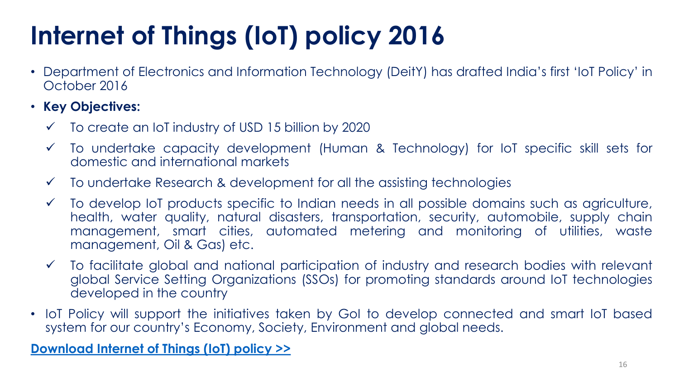# **Internet of Things (IoT) policy 2016**

- Department of Electronics and Information Technology (DeitY) has drafted India's first 'IoT Policy' in October 2016
- **Key Objectives:**
	- $\checkmark$  To create an IoT industry of USD 15 billion by 2020
	- ✓ To undertake capacity development (Human & Technology) for IoT specific skill sets for domestic and international markets
	- $\checkmark$  To undertake Research & development for all the assisting technologies
	- ✓ To develop IoT products specific to Indian needs in all possible domains such as agriculture, health, water quality, natural disasters, transportation, security, automobile, supply chain management, smart cities, automated metering and monitoring of utilities, waste management, Oil & Gas) etc.
	- ✓ To facilitate global and national participation of industry and research bodies with relevant global Service Setting Organizations (SSOs) for promoting standards around IoT technologies developed in the country
- IoT Policy will support the initiatives taken by GoI to develop connected and smart IoT based system for our country's Economy, Society, Environment and global needs.

**[Download](http://meity.gov.in/writereaddata/files/Revised-Draft-IoT-Policy_0.pdf) Internet of Things (IoT) policy >>**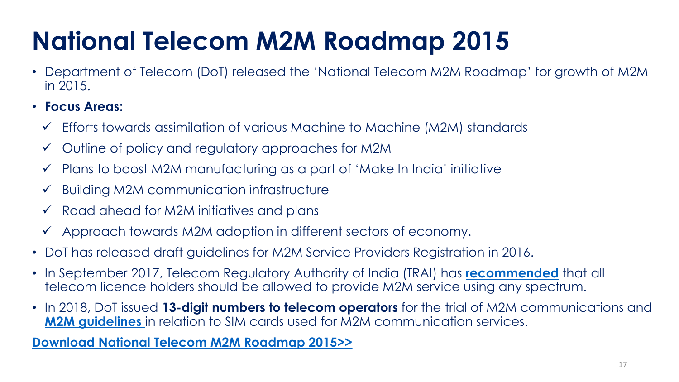# **National Telecom M2M Roadmap 2015**

• Department of Telecom (DoT) released the 'National Telecom M2M Roadmap' for growth of M2M in 2015.

• **Focus Areas:**

- ✓ Efforts towards assimilation of various Machine to Machine (M2M) standards
- ✓ Outline of policy and regulatory approaches for M2M
- $\checkmark$  Plans to boost M2M manufacturing as a part of 'Make In India' initiative
- $\checkmark$  Building M2M communication infrastructure
- $\checkmark$  Road ahead for M2M initiatives and plans
- ✓ Approach towards M2M adoption in different sectors of economy.
- DoT has released draft guidelines for M2M Service Providers Registration in 2016.
- In September 2017, Telecom Regulatory Authority of India (TRAI) has **[recommended](http://www.trai.gov.in/sites/default/files/Recommendations_M2M_05092017.pdf)** that all telecom licence holders should be allowed to provide M2M service using any spectrum.
- In 2018, DoT issued **13-digit numbers to telecom operators** for the trial of M2M communications and **[M2M guidelines](http://www.dot.gov.in/sites/default/files/M2M%20Guidelines.PDF?download=1)** in relation to SIM cards used for M2M communication services.

**[Download National Telecom M2M Roadmap 2015>>](http://www.dot.gov.in/sites/default/files/National%20Telecom%20M2M%20Roadmap.pdf)**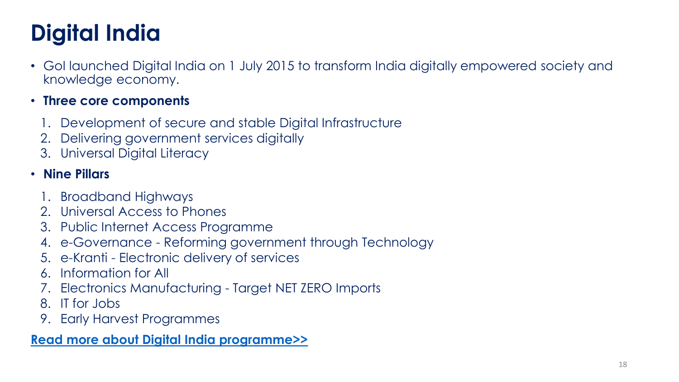### **Digital India**

• GoI launched Digital India on 1 July 2015 to transform India digitally empowered society and knowledge economy.

#### • **Three core components**

- 1. Development of secure and stable Digital Infrastructure
- 2. Delivering government services digitally
- 3. Universal Digital Literacy

### • **Nine Pillars**

- 1. Broadband Highways
- 2. Universal Access to Phones
- 3. Public Internet Access Programme
- 4. e-Governance Reforming government through Technology
- 5. e-Kranti Electronic delivery of services
- 6. Information for All
- 7. Electronics Manufacturing Target NET ZERO Imports
- 8. IT for Jobs
- 9. Early Harvest Programmes

#### **[Read more about Digital India programme>>](https://blog.mygov.in/editorial/digital-india-the-vision-and-the-mission/)**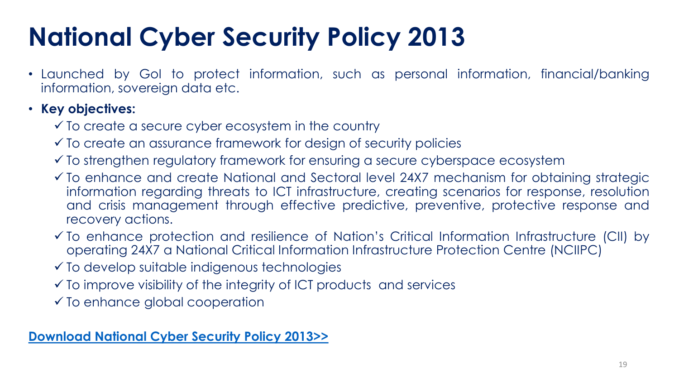## **National Cyber Security Policy 2013**

• Launched by GoI to protect information, such as personal information, financial/banking information, sovereign data etc.

#### • **Key objectives:**

- $\checkmark$  To create a secure cyber ecosystem in the country
- ✓ To create an assurance framework for design of security policies
- ✓ To strengthen regulatory framework for ensuring a secure cyberspace ecosystem
- ✓ To enhance and create National and Sectoral level 24X7 mechanism for obtaining strategic information regarding threats to ICT infrastructure, creating scenarios for response, resolution and crisis management through effective predictive, preventive, protective response and recovery actions.
- ✓ To enhance protection and resilience of Nation's Critical Information Infrastructure (CII) by operating 24X7 a National Critical Information Infrastructure Protection Centre (NCIIPC)
- ✓ To develop suitable indigenous technologies
- $\checkmark$  To improve visibility of the integrity of ICT products and services
- $\checkmark$  To enhance global cooperation

#### **[Download](http://meity.gov.in/sites/upload_files/dit/files/National%20Cyber%20Security%20Policy%20(1).pdf) National Cyber Security Policy 2013>>**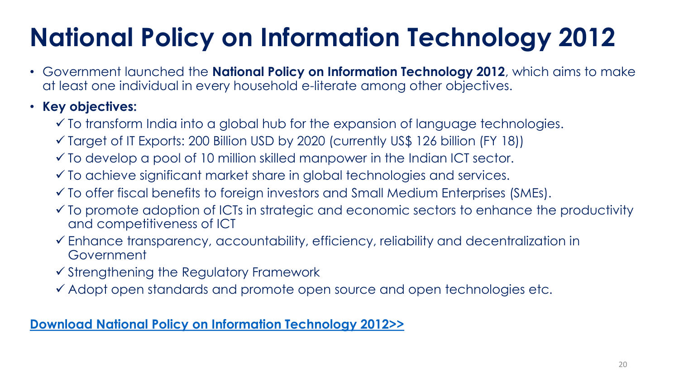# **National Policy on Information Technology 2012**

• Government launched the **National Policy on Information Technology 2012**, which aims to make at least one individual in every household e-literate among other objectives.

• **Key objectives:**

- ✓ To transform India into a global hub for the expansion of language technologies.
- ✓ Target of IT Exports: 200 Billion USD by 2020 (currently US\$ 126 billion (FY 18))
- ✓ To develop a pool of 10 million skilled manpower in the Indian ICT sector.
- ✓ To achieve significant market share in global technologies and services.
- ✓ To offer fiscal benefits to foreign investors and Small Medium Enterprises (SMEs).
- $\checkmark$  To promote adoption of ICTs in strategic and economic sectors to enhance the productivity and competitiveness of ICT
- ✓ Enhance transparency, accountability, efficiency, reliability and decentralization in Government
- ✓ Strengthening the Regulatory Framework
- ✓ Adopt open standards and promote open source and open technologies etc.

#### **[Download National Policy on Information Technology 2012>>](http://meity.gov.in/writereaddata/files/National_20IT_20Policyt%20_20.pdf)**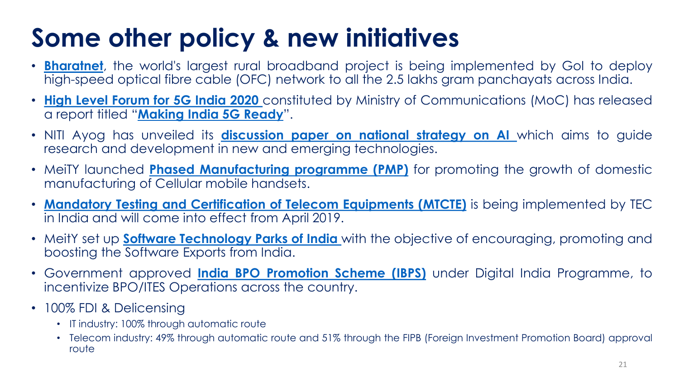### **Some other policy & new initiatives**

- **[Bharatnet](http://bbnl.nic.in/)**, the world's largest rural broadband project is being implemented by GoI to deploy high-speed optical fibre cable (OFC) network to all the 2.5 lakhs gram panchayats across India.
- **High Level [Forum](http://dot.gov.in/sites/default/files/5G%20India%202020%20High%20Level%20Forum_1.pdf) for 5G India 2020** constituted by Ministry of Communications (MoC) has released a report titled "**[Making](http://dot.gov.in/sites/default/files/5G%20Steering%20Committee%20report%20v%2026.pdf#_blank) India 5G Ready**".
- NITI Ayog has unveiled its **[discussion](https://www.niti.gov.in/writereaddata/files/document_publication/NationalStrategy-for-AI-Discussion-Paper.pdf) paper on national strategy on AI** which aims to guide research and development in new and emerging technologies.
- MeiTY launched **Phased [Manufacturing](http://meity.gov.in/writereaddata/files/Notification_PMP_Cellular%20Mobile%20Handsets_28.04.2017.pdf) programme (PMP)** for promoting the growth of domestic manufacturing of Cellular mobile handsets.
- **Mandatory Testing and [Certification](http://www.tec.gov.in/mandatory-testing-and-certification-of-telecom-equipments-mtcte/) of Telecom Equipments (MTCTE)** is being implemented by TEC in India and will come into effect from April 2019.
- MeitY set up **Software [Technology](https://www.stpi.in/11011) Parks of India** with the objective of encouraging, promoting and boosting the Software Exports from India.
- Government approved **India BPO [Promotion](http://meity.gov.in/ibps) Scheme (IBPS)** under Digital India Programme, to incentivize BPO/ITES Operations across the country.
- 100% FDI & Delicensing
	- IT industry: 100% through automatic route
	- Telecom industry: 49% through automatic route and 51% through the FIPB (Foreign Investment Promotion Board) approval route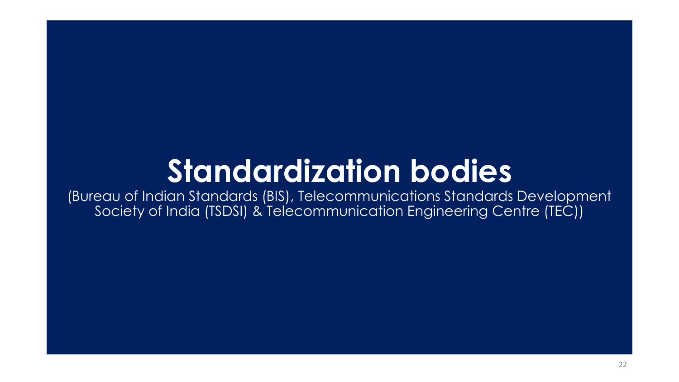# **Standardization bodies**

(Bureau of Indian Standards (BIS), Telecommunications Standards Development Society of India (TSDSI) & Telecommunication Engineering Centre (TEC))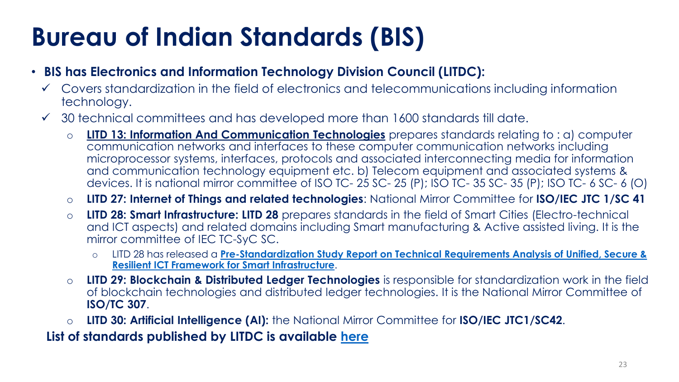## **Bureau of Indian Standards (BIS)**

- **BIS has Electronics and Information Technology Division Council (LITDC):**
	- ✓ Covers standardization in the field of electronics and telecommunications including information technology.
	- $\checkmark$  30 technical committees and has developed more than 1600 standards till date.
		- o **LITD 13: Information And Communication Technologies** prepares standards relating to : a) computer communication networks and interfaces to these computer communication networks including microprocessor systems, interfaces, protocols and associated interconnecting media for information and communication technology equipment etc. b) Telecom equipment and associated systems & devices. It is national mirror committee of ISO TC- 25 SC- 25 (P); ISO TC- 35 SC- 35 (P); ISO TC- 6 SC- 6 (O)
		- o **LITD 27: Internet of Things and related technologies**: National Mirror Committee for **ISO/IEC JTC 1/SC 41**
		- o **LITD 28: Smart Infrastructure: LITD 28** prepares standards in the field of Smart Cities (Electro-technical and ICT aspects) and related domains including Smart manufacturing & Active assisted living. It is the mirror committee of IEC TC-SyC SC.
			- o LITD 28 has released a **[Pre-Standardization Study Report on Technical Requirements Analysis of Unified, Secure &](https://bis.gov.in/other/USR_ICT_FSI_V_1_0.pdf)  Resilient ICT Framework for Smart Infrastructure**.
		- o **LITD 29: Blockchain & Distributed Ledger Technologies** is responsible for standardization work in the field of blockchain technologies and distributed ledger technologies. It is the National Mirror Committee of **ISO/TC 307**.
		- o **LITD 30: Artificial Intelligence (AI):** the National Mirror Committee for **ISO/IEC JTC1/SC42**.

**List of standards published by LITDC is available [here](https://www.services.bis.gov.in:8071/php/BIS/StandardsFormulationV2/pow.01.php)**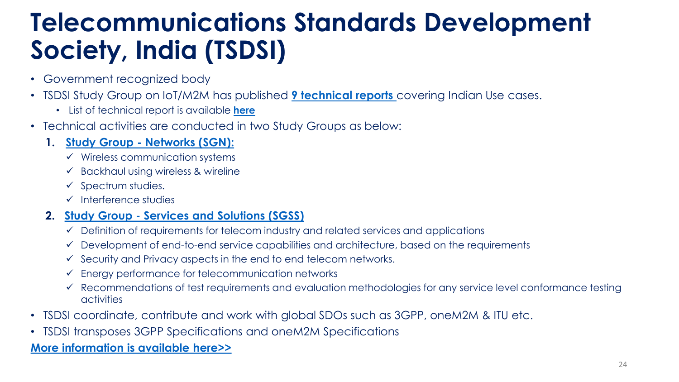### **Telecommunications Standards Development Society, India (TSDSI)**

- Government recognized body
- TSDSI Study Group on IoT/M2M has published **[9 technical reports](https://tsdsi.in/tr/)** covering Indian Use cases.
	- List of technical report is available **[here](https://tsdsi.in/tr/)**
- Technical activities are conducted in two Study Groups as below:

#### **1. Study Group - [Networks \(SGN\):](https://members.tsdsi.in/index.php/s/Ew0j3r7l81CBppQ)**

- ✓ Wireless communication systems
- $\checkmark$  Backhaul using wireless & wireline
- $\checkmark$  Spectrum studies.
- ✓ Interference studies

#### **2. Study Group - [Services and Solutions \(SGSS\)](https://members.tsdsi.in/index.php/s/gQb1nLJO4zY1MLj)**

- $\checkmark$  Definition of requirements for telecom industry and related services and applications
- ✓ Development of end-to-end service capabilities and architecture, based on the requirements
- $\checkmark$  Security and Privacy aspects in the end to end telecom networks.
- $\checkmark$  Energy performance for telecommunication networks
- ✓ Recommendations of test requirements and evaluation methodologies for any service level conformance testing activities
- TSDSI coordinate, contribute and work with global SDOs such as 3GPP, oneM2M & ITU etc.
- TSDSI transposes 3GPP Specifications and oneM2M Specifications

#### **[More information is available here>>](https://tsdsi.in/)**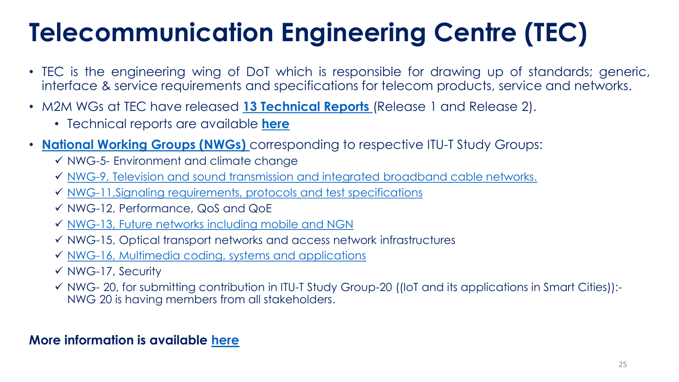## **Telecommunication Engineering Centre (TEC)**

- TEC is the engineering wing of DoT which is responsible for drawing up of standards; generic, interface & service requirements and specifications for telecom products, service and networks.
- M2M WGs at TEC have released **[13 Technical Reports](http://www.tec.gov.in/technical-reports/)** (Release 1 and Release 2).
	- Technical reports are available **[here](http://www.tec.gov.in/technical-reports/)**
- **[National Working Groups \(NWGs\)](http://www.tec.gov.in/national-working-groups/)** corresponding to respective ITU-T Study Groups:
	- ✓ NWG-5- Environment and climate change
	- ✓ [NWG-9, Television and sound transmission and integrated broadband cable networks.](http://www.tec.gov.in/constitution-of-national-working-group-9-nwg-9-corresponding-to-itu-t-study-group-9-broadband-cable-and-tv-for-the-itu-t-study-period-2017-2020-reg/)
	- ✓ [NWG-11,Signaling requirements, protocols and test specifications](http://www.tec.gov.in/regarding-constitution-of-nwg-11-national-working-group-11-for-the-study-period-of-2017-2020/)
	- ✓ NWG-12, Performance, QoS and QoE
	- ✓ [NWG-13, Future networks including mobile and NGN](http://www.tec.gov.in/constitution-of-nwg-13-national-working-group-13-corresponding-to-itut-study-group-13-future-networks-with-focus-on-imt-2020-cloud-computing-and-trusted-network-infrastructures-for-the-itu-t-s/)
	- ✓ NWG-15, Optical transport networks and access network infrastructures
	- ✓ [NWG-16, Multimedia coding, systems and applications](http://www.tec.gov.in/constitution-of-nwg-16-national-working-group-16-corresponding-to-itu-t-sg-16-multimedia-for-the-itu-t-study-period-2017-2020/)
	- ✓ NWG-17, Security
	- ✓ NWG- 20, for submitting contribution in ITU-T Study Group-20 ((IoT and its applications in Smart Cities)):- NWG 20 is having members from all stakeholders.

#### **More information is available [here](http://www.tec.gov.in/)**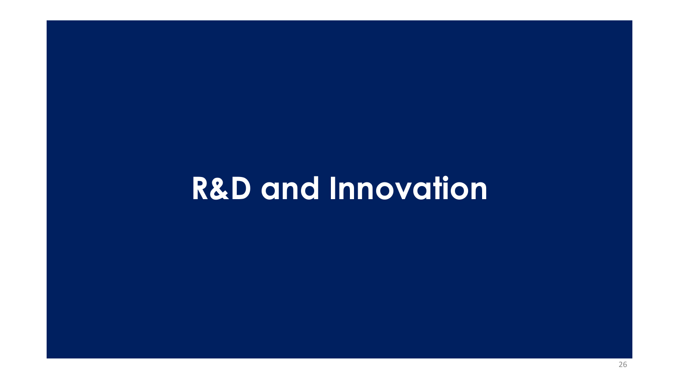# **R&D and Innovation**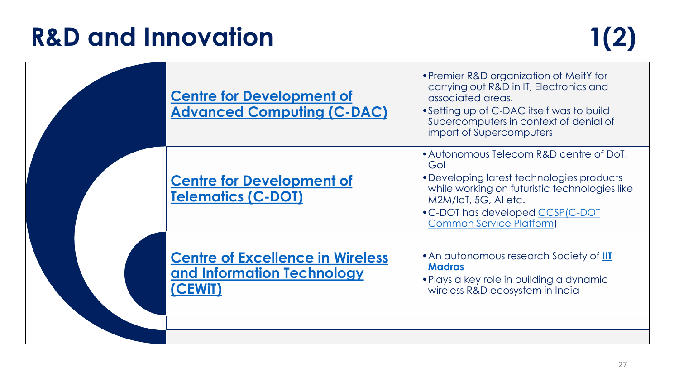### **R&D and Innovation 1(2)**

| <b>Centre for Development of</b><br><b>Advanced Computing (C-DAC)</b>            | • Premier R&D organization of MeitY for<br>carrying out R&D in IT, Electronics and<br>associated areas.<br>• Setting up of C-DAC itself was to build<br>Supercomputers in context of denial of<br>import of Supercomputers                  |
|----------------------------------------------------------------------------------|---------------------------------------------------------------------------------------------------------------------------------------------------------------------------------------------------------------------------------------------|
| <b>Centre for Development of</b><br><b>Telematics (C-DOT)</b>                    | • Autonomous Telecom R&D centre of DoT,<br>Gol<br>• Developing latest technologies products<br>while working on futuristic technologies like<br>M2M/IoT, 5G, AI etc.<br>• C-DOT has developed CCSP(C-DOT<br><b>Common Service Platform)</b> |
| <b>Centre of Excellence in Wireless</b><br>and Information Technology<br>(CEWIT) | • An autonomous research Society of <b>IIT</b><br><b>Madras</b><br>• Plays a key role in building a dynamic<br>wireless R&D ecosystem in India                                                                                              |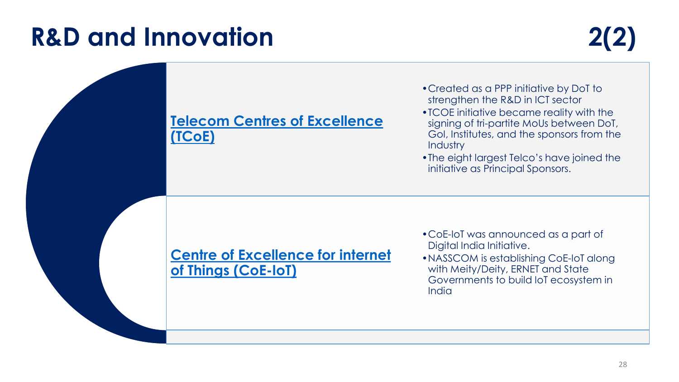### **R&D and Innovation 2(2)**

#### **[Telecom Centres of Excellence](http://www.tcoe.in/)  (TCoE)**

- •Created as a PPP initiative by DoT to strengthen the R&D in ICT sector
- •TCOE initiative became reality with the signing of tri-partite MoUs between DoT, GoI, Institutes, and the sponsors from the **Industry**
- •The eight largest Telco's have joined the initiative as Principal Sponsors.

#### **[Centre of Excellence for internet](http://coe-iot.com/)  of Things (CoE-IoT)**

- •CoE-IoT was announced as a part of Digital India Initiative.
- •NASSCOM is establishing CoE-IoT along with Meity/Deity, ERNET and State Governments to build IoT ecosystem in India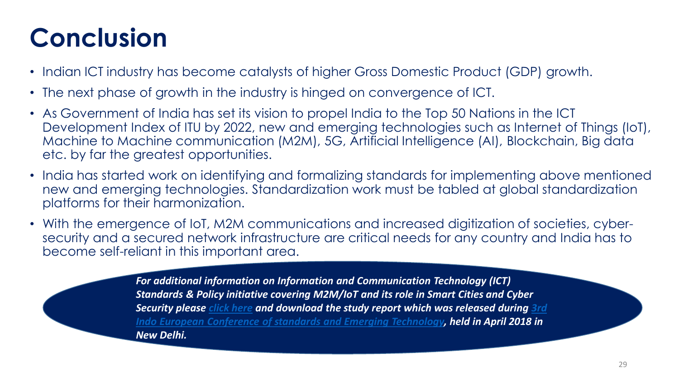## **Conclusion**

- Indian ICT industry has become catalysts of higher Gross Domestic Product (GDP) growth.
- The next phase of growth in the industry is hinged on convergence of ICT.
- As Government of India has set its vision to propel India to the Top 50 Nations in the ICT Development Index of ITU by 2022, new and emerging technologies such as Internet of Things (IoT), Machine to Machine communication (M2M), 5G, Artificial Intelligence (AI), Blockchain, Big data etc. by far the greatest opportunities.
- India has started work on identifying and formalizing standards for implementing above mentioned new and emerging technologies. Standardization work must be tabled at global standardization platforms for their harmonization.
- With the emergence of IoT, M2M communications and increased digitization of societies, cybersecurity and a secured network infrastructure are critical needs for any country and India has to become self-reliant in this important area.

*For additional information on Information and Communication Technology (ICT) Standards & Policy initiative covering M2M/IoT and its role in Smart Cities and Cyber Security please [click here](http://www.cii-iq.in/pdf/study-report/ICT.pdf) and download the study report which was released during 3rd [Indo European Conference of standards and Emerging Technology, held in April 2018 in](http://www.cii-iq.in/Indo_European_Conference.php?page=Indo_European_Conference_on_Standards)  New Delhi.*